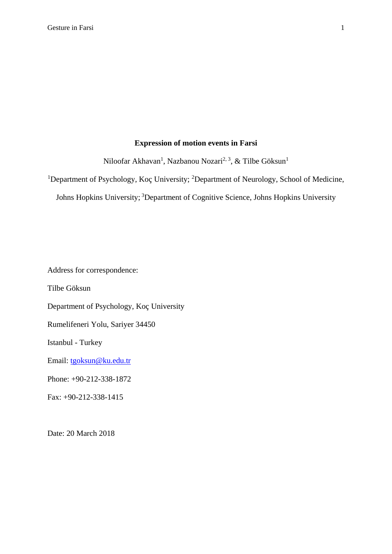# **Expression of motion events in Farsi**

Niloofar Akhavan<sup>1</sup>, Nazbanou Nozari<sup>2, 3</sup>, & Tilbe Göksun<sup>1</sup>

<sup>1</sup>Department of Psychology, Koç University; <sup>2</sup>Department of Neurology, School of Medicine,

Johns Hopkins University; <sup>3</sup>Department of Cognitive Science, Johns Hopkins University

Address for correspondence:

Tilbe Göksun

Department of Psychology, Koç University

Rumelifeneri Yolu, Sariyer 34450

Istanbul - Turkey

Email: [tgoksun@ku.edu.tr](mailto:tgoksun@ku.edu.tr)

Phone: +90-212-338-1872

Fax: +90-212-338-1415

Date: 20 March 2018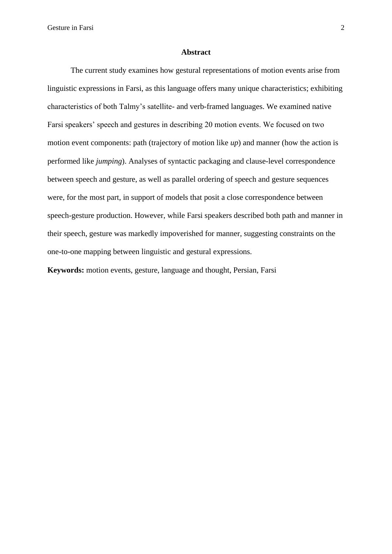#### **Abstract**

The current study examines how gestural representations of motion events arise from linguistic expressions in Farsi, as this language offers many unique characteristics; exhibiting characteristics of both Talmy's satellite- and verb-framed languages. We examined native Farsi speakers' speech and gestures in describing 20 motion events. We focused on two motion event components: path (trajectory of motion like *up*) and manner (how the action is performed like *jumping*). Analyses of syntactic packaging and clause-level correspondence between speech and gesture, as well as parallel ordering of speech and gesture sequences were, for the most part, in support of models that posit a close correspondence between speech-gesture production. However, while Farsi speakers described both path and manner in their speech, gesture was markedly impoverished for manner, suggesting constraints on the one-to-one mapping between linguistic and gestural expressions.

**Keywords:** motion events, gesture, language and thought, Persian, Farsi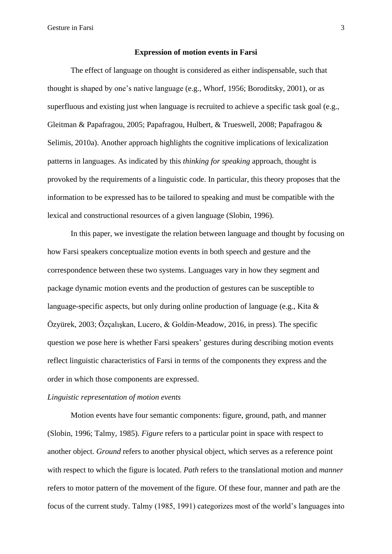#### **Expression of motion events in Farsi**

The effect of language on thought is considered as either indispensable, such that thought is shaped by one's native language (e.g., Whorf, 1956; Boroditsky, 2001), or as superfluous and existing just when language is recruited to achieve a specific task goal (e.g., Gleitman & Papafragou, 2005; Papafragou, Hulbert, & Trueswell, 2008; Papafragou & Selimis, 2010a). Another approach highlights the cognitive implications of lexicalization patterns in languages. As indicated by this *thinking for speaking* approach, thought is provoked by the requirements of a linguistic code. In particular, this theory proposes that the information to be expressed has to be tailored to speaking and must be compatible with the lexical and constructional resources of a given language (Slobin, 1996).

In this paper, we investigate the relation between language and thought by focusing on how Farsi speakers conceptualize motion events in both speech and gesture and the correspondence between these two systems. Languages vary in how they segment and package dynamic motion events and the production of gestures can be susceptible to language-specific aspects, but only during online production of language (e.g., Kita  $\&$ Özyürek, 2003; Özçalışkan, Lucero, & Goldin-Meadow, 2016, in press). The specific question we pose here is whether Farsi speakers' gestures during describing motion events reflect linguistic characteristics of Farsi in terms of the components they express and the order in which those components are expressed.

#### *Linguistic representation of motion events*

Motion events have four semantic components: figure, ground, path, and manner (Slobin, 1996; Talmy, 1985). *Figure* refers to a particular point in space with respect to another object. *Ground* refers to another physical object, which serves as a reference point with respect to which the figure is located. *Path* refers to the translational motion and *manner*  refers to motor pattern of the movement of the figure. Of these four, manner and path are the focus of the current study. Talmy (1985, 1991) categorizes most of the world's languages into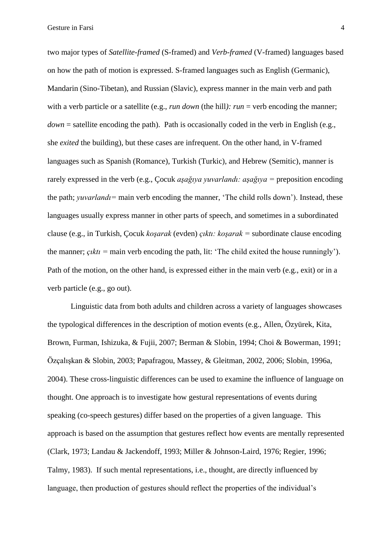two major types of *Satellite-framed* (S-framed) and *Verb-framed* (V-framed) languages based on how the path of motion is expressed. S-framed languages such as English (Germanic), Mandarin (Sino-Tibetan), and Russian (Slavic), express manner in the main verb and path with a verb particle or a satellite (e.g., *run down* (the hill): *run* = verb encoding the manner; *down* = satellite encoding the path). Path is occasionally coded in the verb in English (e.g., she *exited* the building), but these cases are infrequent. On the other hand, in V-framed languages such as Spanish (Romance), Turkish (Turkic), and Hebrew (Semitic), manner is rarely expressed in the verb (e.g., Çocuk *aşağıya yuvarlandı: aşağıya =* preposition encoding the path; *yuvarlandı=* main verb encoding the manner, 'The child rolls down'). Instead, these languages usually express manner in other parts of speech, and sometimes in a subordinated clause (e.g., in Turkish, Çocuk *koşarak* (evden) *çıktı: koşarak =* subordinate clause encoding the manner; *çıktı =* main verb encoding the path, lit: 'The child exited the house runningly'). Path of the motion, on the other hand, is expressed either in the main verb (e.g., exit) or in a verb particle (e.g., go out).

Linguistic data from both adults and children across a variety of languages showcases the typological differences in the description of motion events (e.g., Allen, Özyürek, Kita, Brown, Furman, Ishizuka, & Fujii, 2007; Berman & Slobin, 1994; Choi & Bowerman, 1991; Özçalışkan & Slobin, 2003; Papafragou, Massey, & Gleitman, 2002, 2006; Slobin, 1996a, 2004). These cross-linguistic differences can be used to examine the influence of language on thought. One approach is to investigate how gestural representations of events during speaking (co-speech gestures) differ based on the properties of a given language. This approach is based on the assumption that gestures reflect how events are mentally represented (Clark, 1973; Landau & Jackendoff, 1993; Miller & Johnson-Laird, 1976; Regier, 1996; Talmy, 1983). If such mental representations, i.e., thought, are directly influenced by language, then production of gestures should reflect the properties of the individual's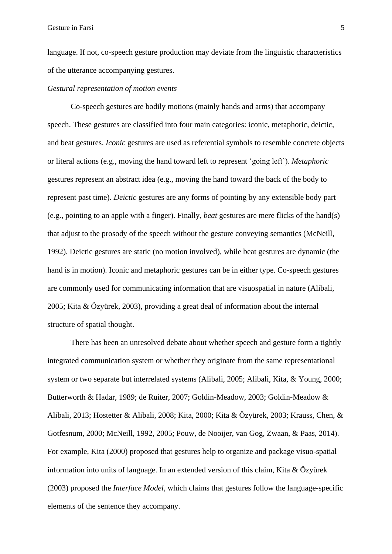language. If not, co-speech gesture production may deviate from the linguistic characteristics of the utterance accompanying gestures.

### *Gestural representation of motion events*

Co-speech gestures are bodily motions (mainly hands and arms) that accompany speech. These gestures are classified into four main categories: iconic, metaphoric, deictic, and beat gestures. *Iconic* gestures are used as referential symbols to resemble concrete objects or literal actions (e.g., moving the hand toward left to represent 'going left'). *Metaphoric* gestures represent an abstract idea (e.g., moving the hand toward the back of the body to represent past time). *Deictic* gestures are any forms of pointing by any extensible body part (e.g., pointing to an apple with a finger). Finally, *beat* gestures are mere flicks of the hand(s) that adjust to the prosody of the speech without the gesture conveying semantics (McNeill, 1992). Deictic gestures are static (no motion involved), while beat gestures are dynamic (the hand is in motion). Iconic and metaphoric gestures can be in either type. Co-speech gestures are commonly used for communicating information that are visuospatial in nature (Alibali, 2005; Kita & Özyürek, 2003), providing a great deal of information about the internal structure of spatial thought.

There has been an unresolved debate about whether speech and gesture form a tightly integrated communication system or whether they originate from the same representational system or two separate but interrelated systems (Alibali, 2005; Alibali, Kita, & Young, 2000; Butterworth & Hadar, 1989; de Ruiter, 2007; Goldin-Meadow, 2003; Goldin-Meadow & Alibali, 2013; Hostetter & Alibali, 2008; Kita, 2000; Kita & Özyürek, 2003; Krauss, Chen, & Gotfesnum, 2000; McNeill, 1992, 2005; Pouw, de Nooijer, van Gog, Zwaan, & Paas, 2014). For example, Kita (2000) proposed that gestures help to organize and package visuo-spatial information into units of language. In an extended version of this claim, Kita & Özyürek (2003) proposed the *Interface Model,* which claims that gestures follow the language-specific elements of the sentence they accompany.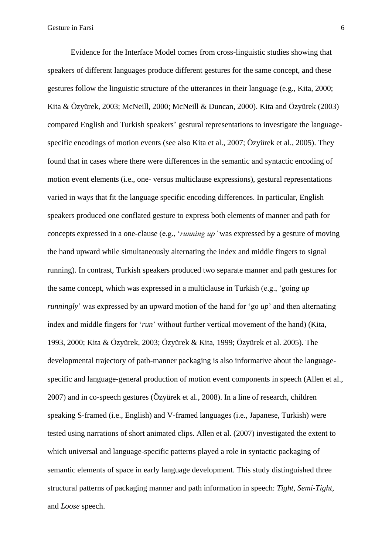Evidence for the Interface Model comes from cross-linguistic studies showing that speakers of different languages produce different gestures for the same concept, and these gestures follow the linguistic structure of the utterances in their language (e.g., Kita, 2000; Kita & Özyürek, 2003; McNeill, 2000; McNeill & Duncan, 2000). Kita and Özyürek (2003) compared English and Turkish speakers' gestural representations to investigate the languagespecific encodings of motion events (see also Kita et al., 2007; Özyürek et al., 2005). They found that in cases where there were differences in the semantic and syntactic encoding of motion event elements (i.e., one- versus multiclause expressions), gestural representations varied in ways that fit the language specific encoding differences. In particular, English speakers produced one conflated gesture to express both elements of manner and path for concepts expressed in a one-clause (e.g., '*running up'* was expressed by a gesture of moving the hand upward while simultaneously alternating the index and middle fingers to signal running). In contrast, Turkish speakers produced two separate manner and path gestures for the same concept, which was expressed in a multiclause in Turkish (e.g., 'going *up runningly*' was expressed by an upward motion of the hand for 'go *up*' and then alternating index and middle fingers for '*run*' without further vertical movement of the hand) (Kita, 1993, 2000; Kita & Özyürek, 2003; Özyürek & Kita, 1999; Özyürek et al. 2005). The developmental trajectory of path-manner packaging is also informative about the languagespecific and language-general production of motion event components in speech (Allen et al., 2007) and in co-speech gestures (Özyürek et al., 2008). In a line of research, children speaking S-framed (i.e., English) and V-framed languages (i.e., Japanese, Turkish) were tested using narrations of short animated clips. Allen et al. (2007) investigated the extent to which universal and language-specific patterns played a role in syntactic packaging of semantic elements of space in early language development. This study distinguished three structural patterns of packaging manner and path information in speech: *Tight, Semi-Tight*, and *Loose* speech.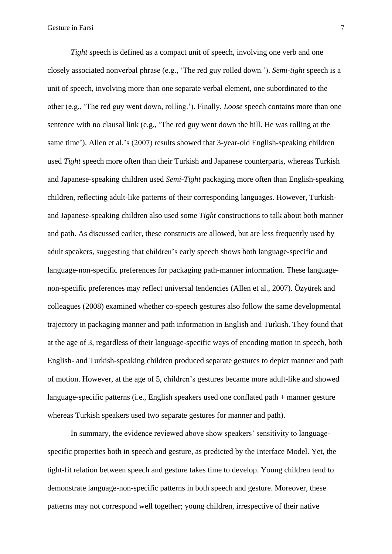*Tight* speech is defined as a compact unit of speech, involving one verb and one closely associated nonverbal phrase (e.g., 'The red guy rolled down.'). *Semi-tight* speech is a unit of speech, involving more than one separate verbal element, one subordinated to the other (e.g., 'The red guy went down, rolling.'). Finally, *Loose* speech contains more than one sentence with no clausal link (e.g., 'The red guy went down the hill. He was rolling at the same time'). Allen et al.'s (2007) results showed that 3-year-old English-speaking children used *Tight* speech more often than their Turkish and Japanese counterparts, whereas Turkish and Japanese-speaking children used *Semi-Tight* packaging more often than English-speaking children, reflecting adult-like patterns of their corresponding languages. However, Turkishand Japanese-speaking children also used some *Tight* constructions to talk about both manner and path. As discussed earlier, these constructs are allowed, but are less frequently used by adult speakers, suggesting that children's early speech shows both language-specific and language-non-specific preferences for packaging path-manner information. These languagenon-specific preferences may reflect universal tendencies (Allen et al., 2007). Özyürek and colleagues (2008) examined whether co-speech gestures also follow the same developmental trajectory in packaging manner and path information in English and Turkish. They found that at the age of 3, regardless of their language-specific ways of encoding motion in speech, both English- and Turkish-speaking children produced separate gestures to depict manner and path of motion. However, at the age of 5, children's gestures became more adult-like and showed language-specific patterns (i.e., English speakers used one conflated path + manner gesture whereas Turkish speakers used two separate gestures for manner and path).

In summary, the evidence reviewed above show speakers' sensitivity to languagespecific properties both in speech and gesture, as predicted by the Interface Model. Yet, the tight-fit relation between speech and gesture takes time to develop. Young children tend to demonstrate language-non-specific patterns in both speech and gesture. Moreover, these patterns may not correspond well together; young children, irrespective of their native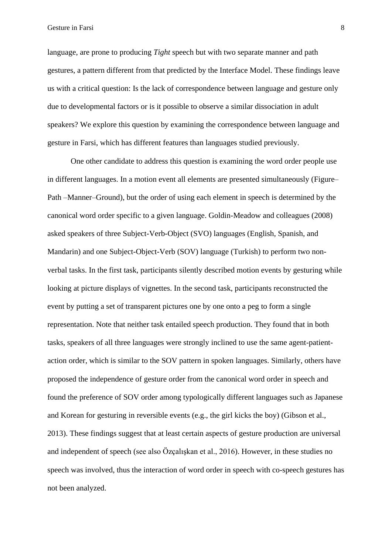language, are prone to producing *Tight* speech but with two separate manner and path gestures, a pattern different from that predicted by the Interface Model. These findings leave us with a critical question: Is the lack of correspondence between language and gesture only due to developmental factors or is it possible to observe a similar dissociation in adult speakers? We explore this question by examining the correspondence between language and gesture in Farsi, which has different features than languages studied previously.

One other candidate to address this question is examining the word order people use in different languages. In a motion event all elements are presented simultaneously (Figure– Path –Manner–Ground), but the order of using each element in speech is determined by the canonical word order specific to a given language. Goldin-Meadow and colleagues (2008) asked speakers of three Subject-Verb-Object (SVO) languages (English, Spanish, and Mandarin) and one Subject-Object-Verb (SOV) language (Turkish) to perform two nonverbal tasks. In the first task, participants silently described motion events by gesturing while looking at picture displays of vignettes. In the second task, participants reconstructed the event by putting a set of transparent pictures one by one onto a peg to form a single representation. Note that neither task entailed speech production. They found that in both tasks, speakers of all three languages were strongly inclined to use the same agent-patientaction order, which is similar to the SOV pattern in spoken languages. Similarly, others have proposed the independence of gesture order from the canonical word order in speech and found the preference of SOV order among typologically different languages such as Japanese and Korean for gesturing in reversible events (e.g., the girl kicks the boy) (Gibson et al., 2013). These findings suggest that at least certain aspects of gesture production are universal and independent of speech (see also Özçalışkan et al., 2016). However, in these studies no speech was involved, thus the interaction of word order in speech with co-speech gestures has not been analyzed.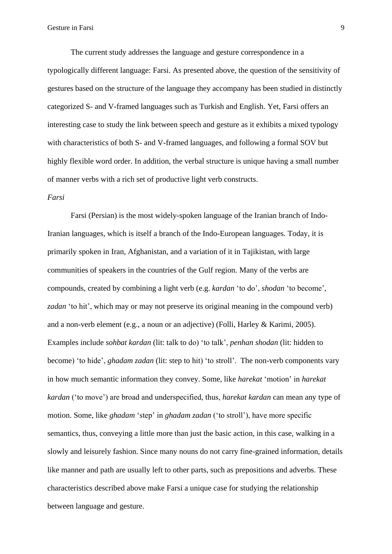The current study addresses the language and gesture correspondence in a typologically different language: Farsi. As presented above, the question of the sensitivity of gestures based on the structure of the language they accompany has been studied in distinctly categorized S- and V-framed languages such as Turkish and English. Yet, Farsi offers an interesting case to study the link between speech and gesture as it exhibits a mixed typology with characteristics of both S- and V-framed languages, and following a formal SOV but highly flexible word order. In addition, the verbal structure is unique having a small number of manner verbs with a rich set of productive light verb constructs.

### *Farsi*

Farsi (Persian) is the most widely-spoken language of the Iranian branch of Indo-Iranian languages, which is itself a branch of the Indo-European languages. Today, it is primarily spoken in Iran, Afghanistan, and a variation of it in Tajikistan, with large communities of speakers in the countries of the Gulf region. Many of the verbs are compounds, created by combining a light verb (e.g. *kardan* 'to do', *shodan* 'to become', *zadan* 'to hit', which may or may not preserve its original meaning in the compound verb) and a non-verb element (e.g., a noun or an adjective) (Folli, Harley & Karimi, 2005). Examples include *sohbat kardan* (lit: talk to do) 'to talk', *penhan shodan* (lit: hidden to become) 'to hide', *ghadam zadan* (lit: step to hit) 'to stroll'. The non-verb components vary in how much semantic information they convey. Some, like *harekat* 'motion' in *harekat kardan* ('to move') are broad and underspecified, thus, *harekat kardan* can mean any type of motion. Some, like *ghadam* 'step' in *ghadam zadan* ('to stroll'), have more specific semantics, thus, conveying a little more than just the basic action, in this case, walking in a slowly and leisurely fashion. Since many nouns do not carry fine-grained information, details like manner and path are usually left to other parts, such as prepositions and adverbs. These characteristics described above make Farsi a unique case for studying the relationship between language and gesture.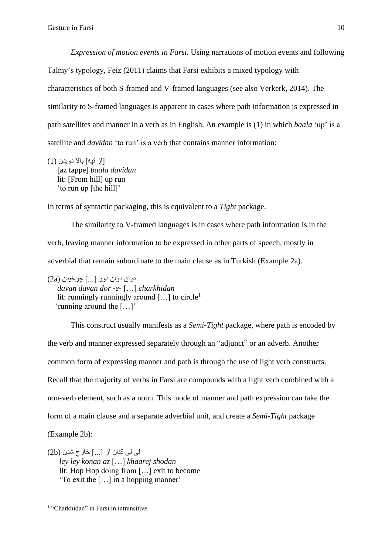*Expression of motion events in Farsi.* Using narrations of motion events and following Talmy's typology, Feiz (2011) claims that Farsi exhibits a mixed typology with characteristics of both S-framed and V-framed languages (see also Verkerk, 2014). The similarity to S-framed languages is apparent in cases where path information is expressed in path satellites and manner in a verb as in English. An example is (1) in which *baala* 'up' is a satellite and *davidan* 'to run' is a verb that contains manner information:

[از تپه] بالا دویدن (1) [az tappe] *baala davidan* lit: [From hill] up run 'to run up [the hill]'

In terms of syntactic packaging, this is equivalent to a *Tight* package.

The similarity to V-framed languages is in cases where path information is in the verb, leaving manner information to be expressed in other parts of speech, mostly in adverbial that remain subordinate to the main clause as in Turkish (Example 2a).

دوان دوان دور ]...[ چرخیدن (a2(  *davan davan dor -e-* […] *charkhidan* lit: runningly runningly around  $[\dots]$  to circle<sup>1</sup> 'running around the […]'

This construct usually manifests as a *Semi-Tight* package, where path is encoded by the verb and manner expressed separately through an "adjunct" or an adverb. Another common form of expressing manner and path is through the use of light verb constructs. Recall that the majority of verbs in Farsi are compounds with a light verb combined with a non-verb element, such as a noun. This mode of manner and path expression can take the form of a main clause and a separate adverbial unit, and create a *Semi-Tight* package

(Example 2b):

**.** 

لی لی کنان از ]...[ خارج شدن (b2(  *ley ley konan az* […] *khaarej shodan* lit: Hop Hop doing from […] exit to become 'To exit the […] in a hopping manner'

<sup>&</sup>lt;sup>1</sup> "Charkhidan" in Farsi in intransitive.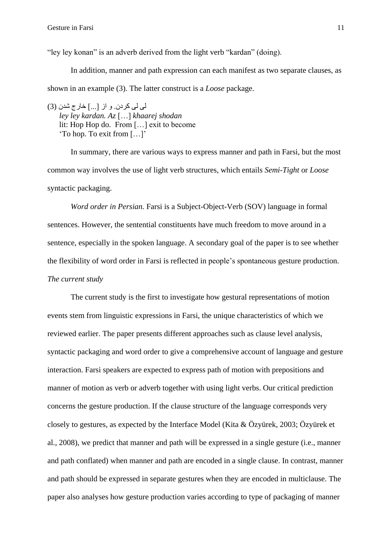"ley ley konan" is an adverb derived from the light verb "kardan" (doing).

In addition, manner and path expression can each manifest as two separate clauses, as shown in an example (3). The latter construct is a *Loose* package.

لی لی کردن. و از ]...[ خارج شدن (3)  *ley ley kardan. Az* […] *khaarej shodan* lit: Hop Hop do. From […] exit to become 'To hop. To exit from […]'

In summary, there are various ways to express manner and path in Farsi, but the most common way involves the use of light verb structures, which entails *Semi-Tight* or *Loose* syntactic packaging.

*Word order in Persian.* Farsi is a Subject-Object-Verb (SOV) language in formal sentences. However, the sentential constituents have much freedom to move around in a sentence, especially in the spoken language. A secondary goal of the paper is to see whether the flexibility of word order in Farsi is reflected in people's spontaneous gesture production. *The current study*

The current study is the first to investigate how gestural representations of motion events stem from linguistic expressions in Farsi, the unique characteristics of which we reviewed earlier. The paper presents different approaches such as clause level analysis, syntactic packaging and word order to give a comprehensive account of language and gesture interaction. Farsi speakers are expected to express path of motion with prepositions and manner of motion as verb or adverb together with using light verbs. Our critical prediction concerns the gesture production. If the clause structure of the language corresponds very closely to gestures, as expected by the Interface Model (Kita & Özyürek, 2003; Özyürek et al., 2008), we predict that manner and path will be expressed in a single gesture (i.e., manner and path conflated) when manner and path are encoded in a single clause. In contrast, manner and path should be expressed in separate gestures when they are encoded in multiclause. The paper also analyses how gesture production varies according to type of packaging of manner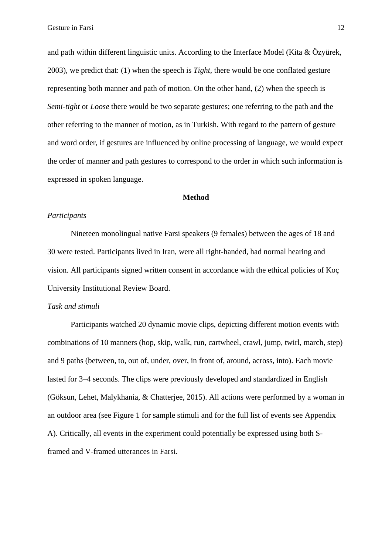and path within different linguistic units. According to the Interface Model (Kita  $\&$  Özyürek, 2003), we predict that: (1) when the speech is *Tight,* there would be one conflated gesture representing both manner and path of motion. On the other hand, (2) when the speech is *Semi-tight* or *Loose* there would be two separate gestures; one referring to the path and the other referring to the manner of motion, as in Turkish. With regard to the pattern of gesture and word order, if gestures are influenced by online processing of language, we would expect the order of manner and path gestures to correspond to the order in which such information is expressed in spoken language.

### **Method**

### *Participants*

Nineteen monolingual native Farsi speakers (9 females) between the ages of 18 and 30 were tested. Participants lived in Iran, were all right-handed, had normal hearing and vision. All participants signed written consent in accordance with the ethical policies of Koç University Institutional Review Board.

#### *Task and stimuli*

Participants watched 20 dynamic movie clips, depicting different motion events with combinations of 10 manners (hop, skip, walk, run, cartwheel, crawl, jump, twirl, march, step) and 9 paths (between, to, out of, under, over, in front of, around, across, into). Each movie lasted for 3–4 seconds. The clips were previously developed and standardized in English (Göksun, Lehet, Malykhania, & Chatterjee, 2015). All actions were performed by a woman in an outdoor area (see Figure 1 for sample stimuli and for the full list of events see Appendix A). Critically, all events in the experiment could potentially be expressed using both Sframed and V-framed utterances in Farsi.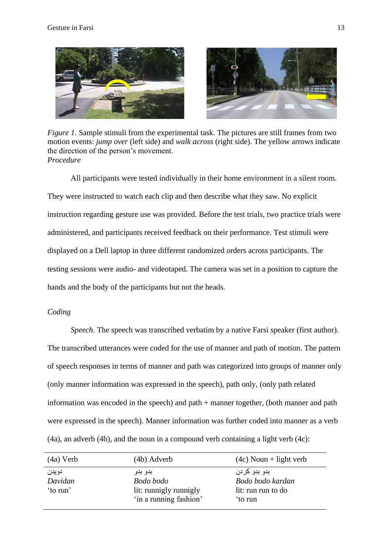

*Figure 1*. Sample stimuli from the experimental task. The pictures are still frames from two motion events: *jump over* (left side) and *walk across* (right side). The yellow arrows indicate the direction of the person's movement. *Procedure* 

All participants were tested individually in their home environment in a silent room. They were instructed to watch each clip and then describe what they saw. No explicit instruction regarding gesture use was provided. Before the test trials, two practice trials were administered, and participants received feedback on their performance. Test stimuli were displayed on a Dell laptop in three different randomized orders across participants. The testing sessions were audio- and videotaped. The camera was set in a position to capture the hands and the body of the participants but not the heads.

# *Coding*

*Speech*. The speech was transcribed verbatim by a native Farsi speaker (first author). The transcribed utterances were coded for the use of manner and path of motion. The pattern of speech responses in terms of manner and path was categorized into groups of manner only (only manner information was expressed in the speech), path only, (only path related information was encoded in the speech) and path + manner together, (both manner and path were expressed in the speech). Manner information was further coded into manner as a verb (4a), an adverb (4b), and the noun in a compound verb containing a light verb (4c):

| $(4a)$ Verb                  | (4b) Adverb                                                              | $(4c)$ Noun + light verb                                         |
|------------------------------|--------------------------------------------------------------------------|------------------------------------------------------------------|
| دويدن<br>Davidan<br>'to run' | بدو بدو<br>Bodo bodo<br>lit: runnigly runnigly<br>'in a running fashion' | بدو بدو کردن<br>Bodo bodo kardan<br>lit: run run to do<br>to run |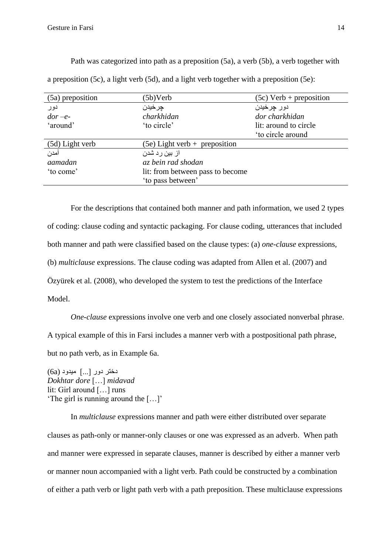Path was categorized into path as a preposition (5a), a verb (5b), a verb together with

a preposition (5c), a light verb (5d), and a light verb together with a preposition (5e):

| $(5c)$ Verb + preposition        |
|----------------------------------|
| دور چرخيدن                       |
| dor charkhidan                   |
| lit: around to circle            |
| 'to circle around                |
| $(5e)$ Light verb + preposition  |
|                                  |
|                                  |
| lit: from between pass to become |
|                                  |
|                                  |

For the descriptions that contained both manner and path information, we used 2 types of coding: clause coding and syntactic packaging. For clause coding, utterances that included both manner and path were classified based on the clause types: (a) *one-clause* expressions*,*  (b) *multiclause* expressions. The clause coding was adapted from Allen et al. (2007) and Özyürek et al. (2008), who developed the system to test the predictions of the Interface Model.

*One-clause* expressions involve one verb and one closely associated nonverbal phrase. A typical example of this in Farsi includes a manner verb with a postpositional path phrase, but no path verb, as in Example 6a.

دختر دور ]...[ میدود (a6( *Dokhtar dore* […] *midavad* lit: Girl around […] runs 'The girl is running around the […]'

In *multiclause* expressions manner and path were either distributed over separate clauses as path-only or manner-only clauses or one was expressed as an adverb. When path and manner were expressed in separate clauses, manner is described by either a manner verb or manner noun accompanied with a light verb. Path could be constructed by a combination of either a path verb or light path verb with a path preposition. These multiclause expressions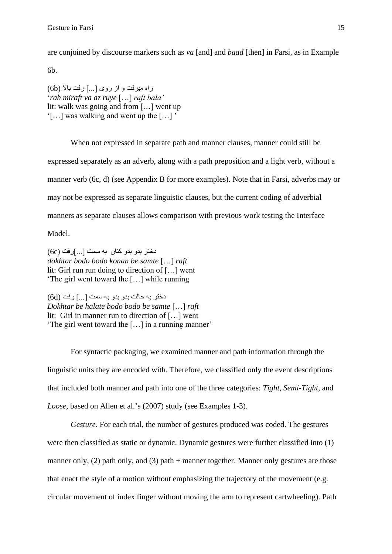are conjoined by discourse markers such as *va* [and] and *baad* [then] in Farsi, as in Example 6b.

راه میرفت و از روی ]...[ رفت باال (b6( '*rah miraft va az ruye* […] *raft bala'* lit: walk was going and from […] went up '[…] was walking and went up the […] '

When not expressed in separate path and manner clauses, manner could still be expressed separately as an adverb, along with a path preposition and a light verb, without a manner verb (6c, d) (see Appendix B for more examples). Note that in Farsi, adverbs may or may not be expressed as separate linguistic clauses, but the current coding of adverbial manners as separate clauses allows comparison with previous work testing the Interface

Model.

 دختر بدو بدو کنان به سمت ]...[رفت (c6( *dokhtar bodo bodo konan be samte* […] *raft* lit: Girl run run doing to direction of […] went 'The girl went toward the […] while running

دختر به حالت بدو بدو به سمت ]...[ رفت (d6( *Dokhtar be halate bodo bodo be samte* […] *raft* lit: Girl in manner run to direction of […] went 'The girl went toward the […] in a running manner'

For syntactic packaging, we examined manner and path information through the linguistic units they are encoded with. Therefore, we classified only the event descriptions that included both manner and path into one of the three categories: *Tight*, *Semi-Tight*, and *Loose*, based on Allen et al.'s (2007) study (see Examples 1-3).

*Gesture*. For each trial, the number of gestures produced was coded. The gestures were then classified as static or dynamic. Dynamic gestures were further classified into (1) manner only, (2) path only, and (3) path + manner together. Manner only gestures are those that enact the style of a motion without emphasizing the trajectory of the movement (e.g. circular movement of index finger without moving the arm to represent cartwheeling). Path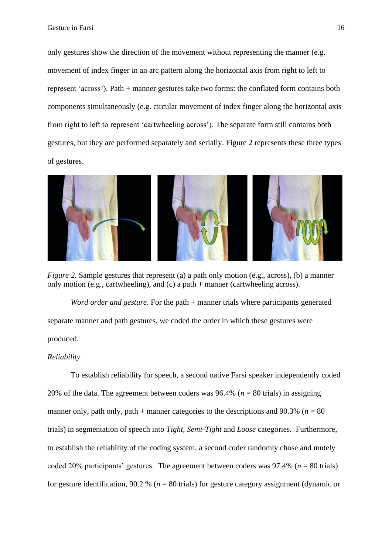only gestures show the direction of the movement without representing the manner (e.g. movement of index finger in an arc pattern along the horizontal axis from right to left to represent 'across'). Path + manner gestures take two forms: the conflated form contains both components simultaneously (e.g. circular movement of index finger along the horizontal axis from right to left to represent 'cartwheeling across'). The separate form still contains both gestures, but they are performed separately and serially. Figure 2 represents these three types of gestures.



*Figure 2.* Sample gestures that represent (a) a path only motion (e.g., across), (b) a manner only motion (e.g., cartwheeling), and (c) a path + manner (cartwheeling across).

*Word order and gesture*. For the path + manner trials where participants generated separate manner and path gestures, we coded the order in which these gestures were produced.

# *Reliability*

To establish reliability for speech, a second native Farsi speaker independently coded 20% of the data. The agreement between coders was  $96.4\%$  ( $n = 80$  trials) in assigning manner only, path only, path + manner categories to the descriptions and  $90.3\%$  ( $n = 80$ ) trials) in segmentation of speech into *Tight, Semi-Tight* and *Loose* categories. Furthermore, to establish the reliability of the coding system, a second coder randomly chose and mutely coded 20% participants' gestures. The agreement between coders was 97.4% (*n* = 80 trials) for gesture identification, 90.2 % ( $n = 80$  trials) for gesture category assignment (dynamic or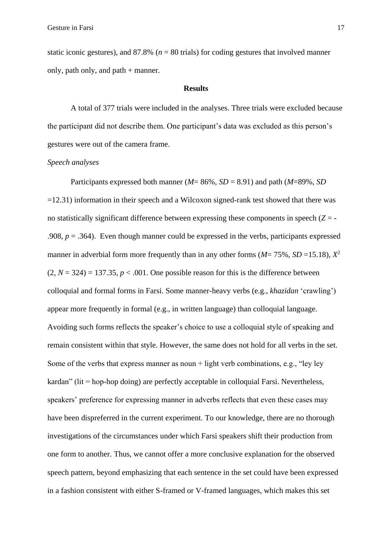static iconic gestures), and  $87.8\%$  ( $n = 80$  trials) for coding gestures that involved manner only, path only, and path + manner.

# **Results**

A total of 377 trials were included in the analyses. Three trials were excluded because the participant did not describe them. One participant's data was excluded as this person's gestures were out of the camera frame.

## *Speech analyses*

Participants expressed both manner (*M*= 86%, *SD* = 8.91) and path (*M*=89%, *SD*  $=12.31$ ) information in their speech and a Wilcoxon signed-rank test showed that there was no statistically significant difference between expressing these components in speech  $(Z = -1)$ .908,  $p = .364$ ). Even though manner could be expressed in the verbs, participants expressed manner in adverbial form more frequently than in any other forms ( $M = 75\%$ ,  $SD = 15.18$ ),  $X^2$  $(2, N = 324) = 137.35, p < .001$ . One possible reason for this is the difference between colloquial and formal forms in Farsi. Some manner-heavy verbs (e.g., *khazidan* 'crawling') appear more frequently in formal (e.g., in written language) than colloquial language. Avoiding such forms reflects the speaker's choice to use a colloquial style of speaking and remain consistent within that style. However, the same does not hold for all verbs in the set. Some of the verbs that express manner as noun  $+$  light verb combinations, e.g., "ley ley kardan" (lit = hop-hop doing) are perfectly acceptable in colloquial Farsi. Nevertheless, speakers' preference for expressing manner in adverbs reflects that even these cases may have been dispreferred in the current experiment. To our knowledge, there are no thorough investigations of the circumstances under which Farsi speakers shift their production from one form to another. Thus, we cannot offer a more conclusive explanation for the observed speech pattern, beyond emphasizing that each sentence in the set could have been expressed in a fashion consistent with either S-framed or V-framed languages, which makes this set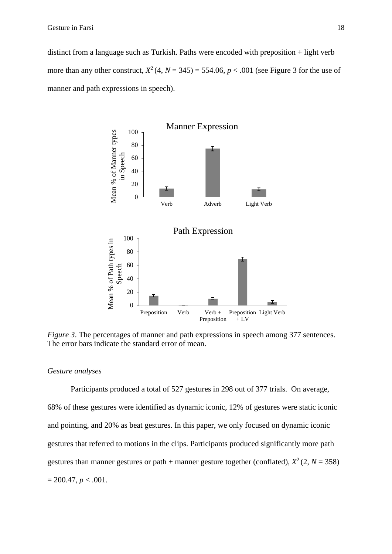distinct from a language such as Turkish. Paths were encoded with preposition + light verb more than any other construct,  $X^2$  (4,  $N = 345$ ) = 554.06,  $p < .001$  (see Figure 3 for the use of manner and path expressions in speech).



*Figure 3.* The percentages of manner and path expressions in speech among 377 sentences. The error bars indicate the standard error of mean.

### *Gesture analyses*

Participants produced a total of 527 gestures in 298 out of 377 trials. On average, 68% of these gestures were identified as dynamic iconic, 12% of gestures were static iconic and pointing, and 20% as beat gestures. In this paper, we only focused on dynamic iconic gestures that referred to motions in the clips. Participants produced significantly more path gestures than manner gestures or path + manner gesture together (conflated),  $X^2$  (2,  $N = 358$ )  $= 200.47, p < .001.$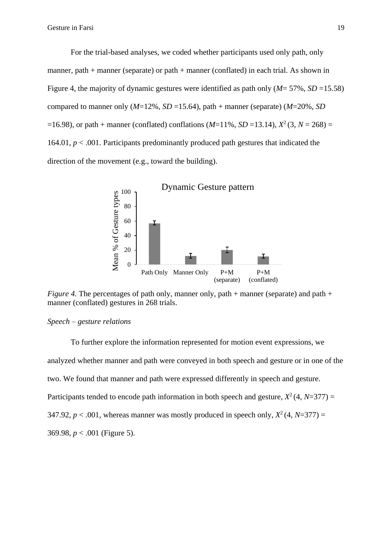For the trial-based analyses, we coded whether participants used only path, only manner, path + manner (separate) or path + manner (conflated) in each trial. As shown in Figure 4, the majority of dynamic gestures were identified as path only (*M*= 57%, *SD* =15.58) compared to manner only  $(M=12\%, SD=15.64)$ , path + manner (separate)  $(M=20\%, SD=15.64)$  $=16.98$ ), or path + manner (conflated) conflations (*M*=11%, *SD* =13.14),  $X^2$  (3, *N* = 268) = 164.01, *p* < .001. Participants predominantly produced path gestures that indicated the direction of the movement (e.g., toward the building).



*Figure 4.* The percentages of path only, manner only, path + manner (separate) and path + manner (conflated) gestures in 268 trials.

## *Speech – gesture relations*

To further explore the information represented for motion event expressions, we analyzed whether manner and path were conveyed in both speech and gesture or in one of the two. We found that manner and path were expressed differently in speech and gesture. Participants tended to encode path information in both speech and gesture,  $X^2(4, N=377)$  = 347.92,  $p < .001$ , whereas manner was mostly produced in speech only,  $X^2(4, N=377) =$ 369.98, *p* < .001 (Figure 5).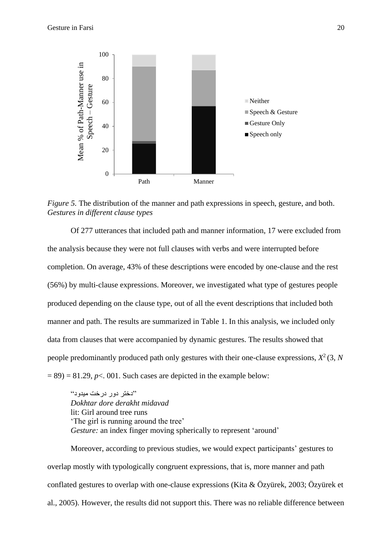

*Figure 5.* The distribution of the manner and path expressions in speech, gesture, and both. *Gestures in different clause types*

Of 277 utterances that included path and manner information, 17 were excluded from the analysis because they were not full clauses with verbs and were interrupted before completion. On average, 43% of these descriptions were encoded by one-clause and the rest (56%) by multi-clause expressions. Moreover, we investigated what type of gestures people produced depending on the clause type, out of all the event descriptions that included both manner and path. The results are summarized in Table 1. In this analysis, we included only data from clauses that were accompanied by dynamic gestures. The results showed that people predominantly produced path only gestures with their one-clause expressions,  $X^2(3, N^2)$  $= 89$ ) = 81.29, *p*<. 001. Such cases are depicted in the example below:

"دختر دور درخت میدود" *Dokhtar dore derakht midavad* lit: Girl around tree runs 'The girl is running around the tree' *Gesture:* an index finger moving spherically to represent 'around'

Moreover, according to previous studies, we would expect participants' gestures to overlap mostly with typologically congruent expressions, that is, more manner and path conflated gestures to overlap with one-clause expressions (Kita & Özyürek, 2003; Özyürek et al., 2005). However, the results did not support this. There was no reliable difference between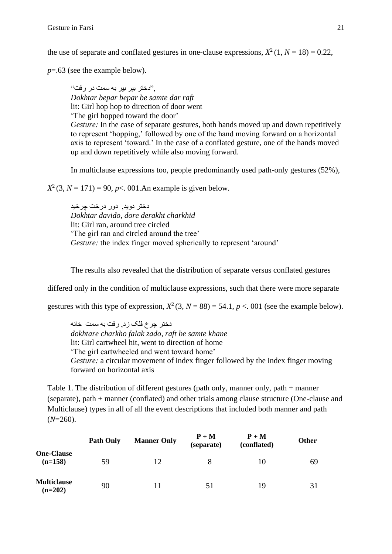the use of separate and conflated gestures in one-clause expressions,  $X^2(1, N = 18) = 0.22$ ,

*p*=.63 (see the example below).

."دختر ببر ببر به سمت در رفت" *Dokhtar bepar bepar be samte dar raft* lit: Girl hop hop to direction of door went 'The girl hopped toward the door' *Gesture:* In the case of separate gestures, both hands moved up and down repetitively to represent 'hopping,' followed by one of the hand moving forward on a horizontal axis to represent 'toward.' In the case of a conflated gesture, one of the hands moved up and down repetitively while also moving forward.

In multiclause expressions too, people predominantly used path-only gestures (52%),

 $X^2$  (3,  $N = 171$ ) = 90,  $p < .001$ . An example is given below.

دختر دوید, دور درخت چرخید *Dokhtar davido, dore derakht charkhid* lit: Girl ran, around tree circled 'The girl ran and circled around the tree' *Gesture:* the index finger moved spherically to represent 'around'

The results also revealed that the distribution of separate versus conflated gestures

differed only in the condition of multiclause expressions, such that there were more separate

gestures with this type of expression,  $X^2$  (3,  $N = 88$ ) = 54.1,  $p < .001$  (see the example below).

دختر چرخ فلک زد, رفت به سمت خانه *dokhtare charkho falak zado, raft be samte khane*  lit: Girl cartwheel hit, went to direction of home 'The girl cartwheeled and went toward home' *Gesture:* a circular movement of index finger followed by the index finger moving forward on horizontal axis

Table 1. The distribution of different gestures (path only, manner only, path + manner (separate), path + manner (conflated) and other trials among clause structure (One-clause and Multiclause) types in all of all the event descriptions that included both manner and path  $(N=260)$ .

|                                 | <b>Path Only</b> | <b>Manner Only</b> | $P + M$<br>(separate) | $P + M$<br>(conflated) | <b>Other</b> |  |
|---------------------------------|------------------|--------------------|-----------------------|------------------------|--------------|--|
| <b>One-Clause</b><br>$(n=158)$  | 59               | 12                 | 8                     | 10                     | 69           |  |
| <b>Multiclause</b><br>$(n=202)$ | 90               |                    | 51                    | 19                     | 31           |  |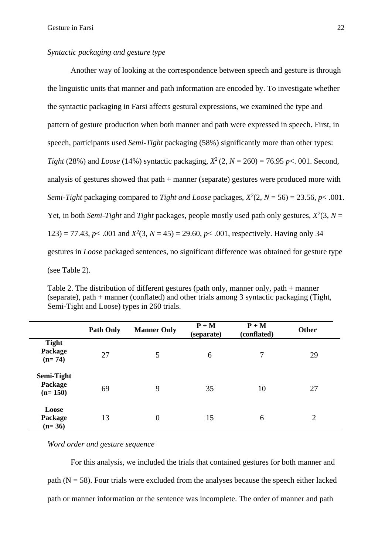## *Syntactic packaging and gesture type*

Another way of looking at the correspondence between speech and gesture is through the linguistic units that manner and path information are encoded by. To investigate whether the syntactic packaging in Farsi affects gestural expressions, we examined the type and pattern of gesture production when both manner and path were expressed in speech. First, in speech, participants used *Semi-Tight* packaging (58%) significantly more than other types: *Tight* (28%) and *Loose* (14%) syntactic packaging,  $X^2$  (2,  $N = 260$ ) = 76.95 *p* < 001. Second, analysis of gestures showed that path + manner (separate) gestures were produced more with *Semi-Tight* packaging compared to *Tight and Loose* packages,  $X^2(2, N = 56) = 23.56$ ,  $p < .001$ . Yet, in both *Semi-Tight* and *Tight* packages, people mostly used path only gestures,  $X^2(3, N = 1)$ 123) = 77.43,  $p < .001$  and  $X^2(3, N = 45) = 29.60$ ,  $p < .001$ , respectively. Having only 34 gestures in *Loose* packaged sentences, no significant difference was obtained for gesture type (see Table 2).

Table 2. The distribution of different gestures (path only, manner only, path + manner (separate), path + manner (conflated) and other trials among 3 syntactic packaging (Tight, Semi-Tight and Loose) types in 260 trials.

|                                     | <b>Path Only</b> | <b>Manner Only</b> | $P + M$<br>(separate) | $P + M$<br>(conflated) | <b>Other</b> |
|-------------------------------------|------------------|--------------------|-----------------------|------------------------|--------------|
| <b>Tight</b><br>Package<br>$(n=74)$ | 27               | 5                  | 6                     | 7                      | 29           |
| Semi-Tight<br>Package<br>$(n=150)$  | 69               | 9                  | 35                    | 10                     | 27           |
| Loose<br>Package<br>$(n=36)$        | 13               | $\overline{0}$     | 15                    | 6                      | 2            |

*Word order and gesture sequence* 

For this analysis, we included the trials that contained gestures for both manner and path ( $N = 58$ ). Four trials were excluded from the analyses because the speech either lacked path or manner information or the sentence was incomplete. The order of manner and path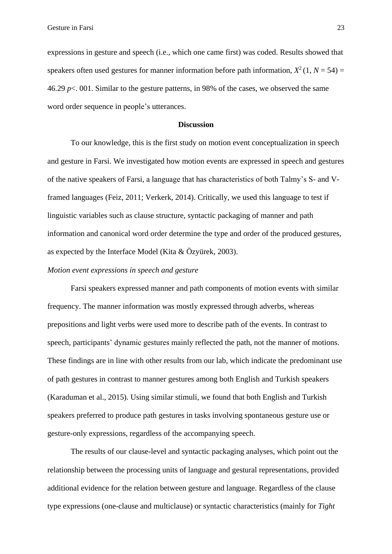expressions in gesture and speech (i.e., which one came first) was coded. Results showed that speakers often used gestures for manner information before path information,  $X^2(1, N = 54) =$ 46.29 *p*<. 001. Similar to the gesture patterns, in 98% of the cases, we observed the same word order sequence in people's utterances.

#### **Discussion**

To our knowledge, this is the first study on motion event conceptualization in speech and gesture in Farsi. We investigated how motion events are expressed in speech and gestures of the native speakers of Farsi, a language that has characteristics of both Talmy's S- and Vframed languages (Feiz, 2011; Verkerk, 2014). Critically, we used this language to test if linguistic variables such as clause structure, syntactic packaging of manner and path information and canonical word order determine the type and order of the produced gestures, as expected by the Interface Model (Kita & Özyürek, 2003).

## *Motion event expressions in speech and gesture*

Farsi speakers expressed manner and path components of motion events with similar frequency. The manner information was mostly expressed through adverbs, whereas prepositions and light verbs were used more to describe path of the events. In contrast to speech, participants' dynamic gestures mainly reflected the path, not the manner of motions. These findings are in line with other results from our lab, which indicate the predominant use of path gestures in contrast to manner gestures among both English and Turkish speakers (Karaduman et al., 2015). Using similar stimuli, we found that both English and Turkish speakers preferred to produce path gestures in tasks involving spontaneous gesture use or gesture-only expressions, regardless of the accompanying speech.

The results of our clause-level and syntactic packaging analyses, which point out the relationship between the processing units of language and gestural representations, provided additional evidence for the relation between gesture and language. Regardless of the clause type expressions (one-clause and multiclause) or syntactic characteristics (mainly for *Tight*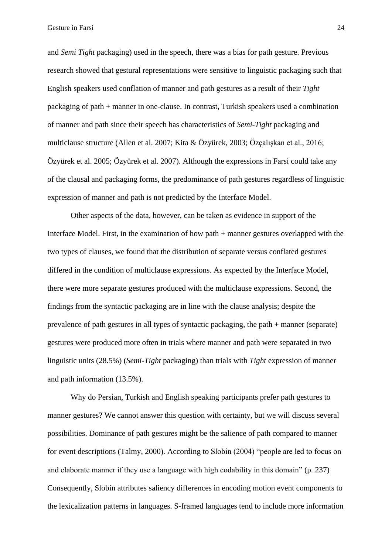and *Semi Tight* packaging) used in the speech, there was a bias for path gesture. Previous research showed that gestural representations were sensitive to linguistic packaging such that English speakers used conflation of manner and path gestures as a result of their *Tight*  packaging of path + manner in one-clause. In contrast, Turkish speakers used a combination of manner and path since their speech has characteristics of *Semi-Tight* packaging and multiclause structure (Allen et al. 2007; Kita & Özyürek, 2003; Özçalışkan et al., 2016; Özyürek et al. 2005; Özyürek et al. 2007). Although the expressions in Farsi could take any of the clausal and packaging forms, the predominance of path gestures regardless of linguistic expression of manner and path is not predicted by the Interface Model.

Other aspects of the data, however, can be taken as evidence in support of the Interface Model. First, in the examination of how path + manner gestures overlapped with the two types of clauses, we found that the distribution of separate versus conflated gestures differed in the condition of multiclause expressions. As expected by the Interface Model, there were more separate gestures produced with the multiclause expressions. Second, the findings from the syntactic packaging are in line with the clause analysis; despite the prevalence of path gestures in all types of syntactic packaging, the path + manner (separate) gestures were produced more often in trials where manner and path were separated in two linguistic units (28.5%) (*Semi-Tight* packaging) than trials with *Tight* expression of manner and path information (13.5%).

Why do Persian, Turkish and English speaking participants prefer path gestures to manner gestures? We cannot answer this question with certainty, but we will discuss several possibilities. Dominance of path gestures might be the salience of path compared to manner for event descriptions (Talmy, 2000). According to Slobin (2004) "people are led to focus on and elaborate manner if they use a language with high codability in this domain" (p. 237) Consequently, Slobin attributes saliency differences in encoding motion event components to the lexicalization patterns in languages. S-framed languages tend to include more information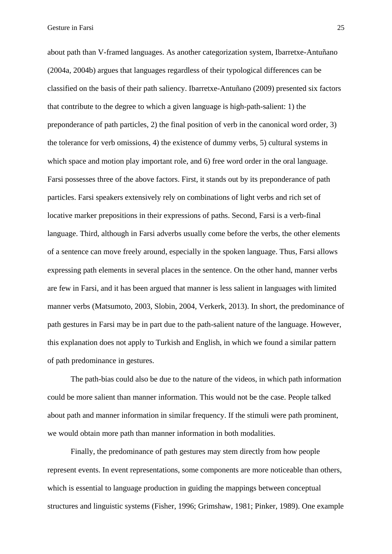about path than V-framed languages. As another categorization system, Ibarretxe-Antuñano (2004a, 2004b) argues that languages regardless of their typological differences can be classified on the basis of their path saliency. Ibarretxe-Antuñano (2009) presented six factors that contribute to the degree to which a given language is high-path-salient: 1) the preponderance of path particles, 2) the final position of verb in the canonical word order, 3) the tolerance for verb omissions, 4) the existence of dummy verbs, 5) cultural systems in which space and motion play important role, and 6) free word order in the oral language. Farsi possesses three of the above factors. First, it stands out by its preponderance of path particles. Farsi speakers extensively rely on combinations of light verbs and rich set of locative marker prepositions in their expressions of paths. Second, Farsi is a verb-final language. Third, although in Farsi adverbs usually come before the verbs, the other elements of a sentence can move freely around, especially in the spoken language. Thus, Farsi allows expressing path elements in several places in the sentence. On the other hand, manner verbs are few in Farsi, and it has been argued that manner is less salient in languages with limited manner verbs (Matsumoto, 2003, Slobin, 2004, Verkerk, 2013). In short, the predominance of path gestures in Farsi may be in part due to the path-salient nature of the language. However, this explanation does not apply to Turkish and English, in which we found a similar pattern of path predominance in gestures.

The path-bias could also be due to the nature of the videos, in which path information could be more salient than manner information. This would not be the case. People talked about path and manner information in similar frequency. If the stimuli were path prominent, we would obtain more path than manner information in both modalities.

Finally, the predominance of path gestures may stem directly from how people represent events. In event representations, some components are more noticeable than others, which is essential to language production in guiding the mappings between conceptual structures and linguistic systems (Fisher, 1996; Grimshaw, 1981; Pinker, 1989). One example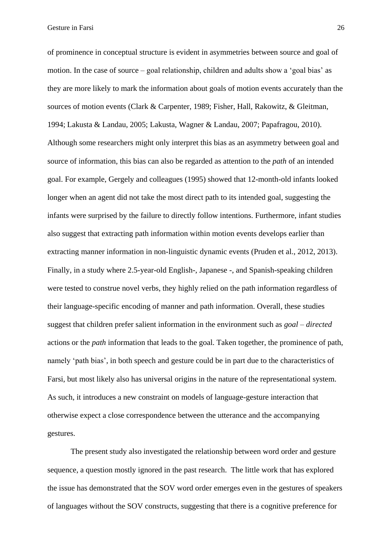of prominence in conceptual structure is evident in asymmetries between source and goal of motion. In the case of source – goal relationship, children and adults show a 'goal bias' as they are more likely to mark the information about goals of motion events accurately than the sources of motion events (Clark & Carpenter, 1989; Fisher, Hall, Rakowitz, & Gleitman, 1994; Lakusta & Landau, 2005; Lakusta, Wagner & Landau, 2007; Papafragou, 2010). Although some researchers might only interpret this bias as an asymmetry between goal and source of information, this bias can also be regarded as attention to the *path* of an intended goal. For example, Gergely and colleagues (1995) showed that 12-month-old infants looked longer when an agent did not take the most direct path to its intended goal, suggesting the infants were surprised by the failure to directly follow intentions. Furthermore, infant studies also suggest that extracting path information within motion events develops earlier than extracting manner information in non-linguistic dynamic events (Pruden et al., 2012, 2013). Finally, in a study where 2.5-year-old English-, Japanese -, and Spanish-speaking children were tested to construe novel verbs, they highly relied on the path information regardless of their language-specific encoding of manner and path information. Overall, these studies suggest that children prefer salient information in the environment such as *goal – directed* actions or the *path* information that leads to the goal. Taken together, the prominence of path, namely 'path bias', in both speech and gesture could be in part due to the characteristics of Farsi, but most likely also has universal origins in the nature of the representational system. As such, it introduces a new constraint on models of language-gesture interaction that otherwise expect a close correspondence between the utterance and the accompanying gestures.

The present study also investigated the relationship between word order and gesture sequence, a question mostly ignored in the past research. The little work that has explored the issue has demonstrated that the SOV word order emerges even in the gestures of speakers of languages without the SOV constructs, suggesting that there is a cognitive preference for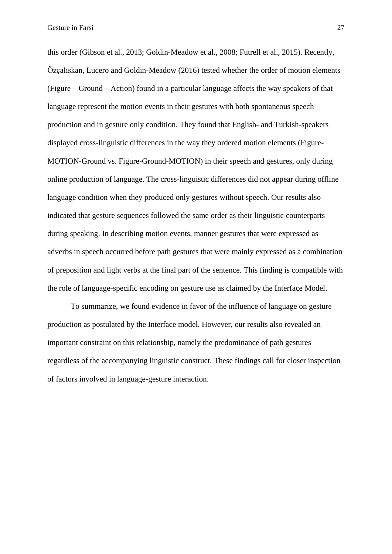this order (Gibson et al., 2013; Goldin-Meadow et al., 2008; Futrell et al., 2015). Recently, Özçalıskan, Lucero and Goldin-Meadow (2016) tested whether the order of motion elements (Figure – Ground – Action) found in a particular language affects the way speakers of that language represent the motion events in their gestures with both spontaneous speech production and in gesture only condition. They found that English- and Turkish-speakers displayed cross-linguistic differences in the way they ordered motion elements (Figure-MOTION-Ground vs. Figure-Ground-MOTION) in their speech and gestures, only during online production of language. The cross-linguistic differences did not appear during offline language condition when they produced only gestures without speech. Our results also indicated that gesture sequences followed the same order as their linguistic counterparts during speaking. In describing motion events, manner gestures that were expressed as adverbs in speech occurred before path gestures that were mainly expressed as a combination of preposition and light verbs at the final part of the sentence. This finding is compatible with the role of language-specific encoding on gesture use as claimed by the Interface Model.

To summarize, we found evidence in favor of the influence of language on gesture production as postulated by the Interface model. However, our results also revealed an important constraint on this relationship, namely the predominance of path gestures regardless of the accompanying linguistic construct. These findings call for closer inspection of factors involved in language-gesture interaction.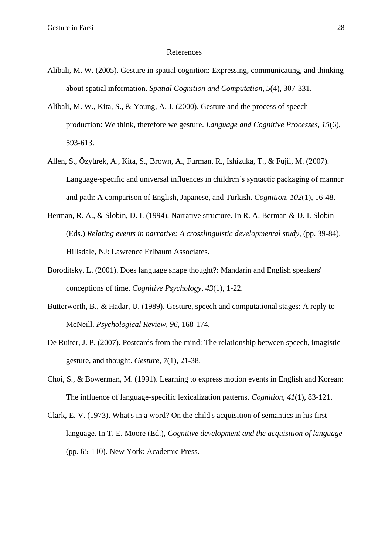#### References

- Alibali, M. W. (2005). Gesture in spatial cognition: Expressing, communicating, and thinking about spatial information. *Spatial Cognition and Computation*, *5*(4), 307-331.
- Alibali, M. W., Kita, S., & Young, A. J. (2000). Gesture and the process of speech production: We think, therefore we gesture. *Language and Cognitive Processes*, *15*(6), 593-613.
- Allen, S., Özyürek, A., Kita, S., Brown, A., Furman, R., Ishizuka, T., & Fujii, M. (2007). Language-specific and universal influences in children's syntactic packaging of manner and path: A comparison of English, Japanese, and Turkish. *Cognition*, *102*(1), 16-48.
- Berman, R. A., & Slobin, D. I. (1994). Narrative structure. In R. A. Berman & D. I. Slobin (Eds.) *Relating events in narrative: A crosslinguistic developmental study*, (pp. 39-84). Hillsdale, NJ: Lawrence Erlbaum Associates.
- Boroditsky, L. (2001). Does language shape thought?: Mandarin and English speakers' conceptions of time. *Cognitive Psychology*, *43*(1), 1-22.
- Butterworth, B., & Hadar, U. (1989). Gesture, speech and computational stages: A reply to McNeill. *Psychological Review, 96*, 168-174.
- De Ruiter, J. P. (2007). Postcards from the mind: The relationship between speech, imagistic gesture, and thought. *Gesture*, *7*(1), 21-38.
- Choi, S., & Bowerman, M. (1991). Learning to express motion events in English and Korean: The influence of language-specific lexicalization patterns. *Cognition*, *41*(1), 83-121.
- Clark, E. V. (1973). What's in a word? On the child's acquisition of semantics in his first language. In T. E. Moore (Ed.), *Cognitive development and the acquisition of language* (pp. 65-110). New York: Academic Press.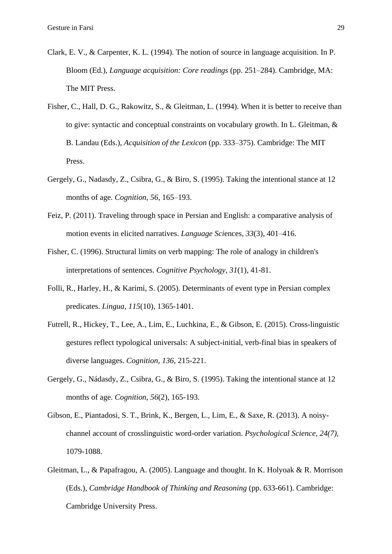- Clark, E. V., & Carpenter, K. L. (1994). The notion of source in language acquisition. In P. Bloom (Ed.), *Language acquisition: Core readings* (pp. 251–284). Cambridge, MA: The MIT Press.
- Fisher, C., Hall, D. G., Rakowitz, S., & Gleitman, L. (1994). When it is better to receive than to give: syntactic and conceptual constraints on vocabulary growth. In L. Gleitman, & B. Landau (Eds.), *Acquisition of the Lexicon* (pp. 333–375). Cambridge: The MIT Press.
- Gergely, G., Nadasdy, Z., Csibra, G., & Biro, S. (1995). Taking the intentional stance at 12 months of age. *Cognition, 56*, 165–193.
- Feiz, P. (2011). Traveling through space in Persian and English: a comparative analysis of motion events in elicited narratives. *Language Sci*ences, *33*(3), 401–416.
- Fisher, C. (1996). Structural limits on verb mapping: The role of analogy in children's interpretations of sentences. *Cognitive Psychology*, *31*(1), 41-81.
- Folli, R., Harley, H., & Karimi, S. (2005). Determinants of event type in Persian complex predicates. *Lingua*, *115*(10), 1365-1401.
- Futrell, R., Hickey, T., Lee, A., Lim, E., Luchkina, E., & Gibson, E. (2015). Cross-linguistic gestures reflect typological universals: A subject-initial, verb-final bias in speakers of diverse languages. *Cognition*, *136*, 215-221.
- Gergely, G., Nádasdy, Z., Csibra, G., & Biro, S. (1995). Taking the intentional stance at 12 months of age. *Cognition*, *56*(2), 165-193.
- Gibson, E., Piantadosi, S. T., Brink, K., Bergen, L., Lim, E., & Saxe, R. (2013). A noisychannel account of crosslinguistic word-order variation. *Psychological Science*, *24(7),* 1079-1088.
- Gleitman, L., & Papafragou, A. (2005). Language and thought. In K. Holyoak & R. Morrison (Eds.), *Cambridge Handbook of Thinking and Reasoning* (pp. 633-661). Cambridge: Cambridge University Press.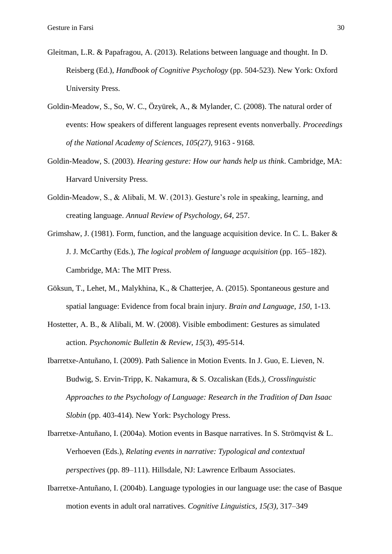- Gleitman, L.R. & Papafragou, A. (2013). Relations between language and thought. In D. Reisberg (Ed.), *Handbook of Cognitive Psychology* (pp. 504-523). New York: Oxford University Press.
- Goldin-Meadow, S., So, W. C., Özyürek, A., & Mylander, C. (2008). The natural order of events: How speakers of different languages represent events nonverbally*. Proceedings of the National Academy of Sciences, 105(27),* 9163 - 9168.
- Goldin-Meadow, S. (2003). *Hearing gesture: How our hands help us think*. Cambridge, MA: Harvard University Press.
- Goldin-Meadow, S., & Alibali, M. W. (2013). Gesture's role in speaking, learning, and creating language. *Annual Review of Psychology*, *64*, 257.
- Grimshaw, J. (1981). Form, function, and the language acquisition device. In C. L. Baker & J. J. McCarthy (Eds.), *The logical problem of language acquisition* (pp. 165–182). Cambridge, MA: The MIT Press.
- Göksun, T., Lehet, M., Malykhina, K., & Chatterjee, A. (2015). Spontaneous gesture and spatial language: Evidence from focal brain injury. *Brain and Language*, *150*, 1-13.
- Hostetter, A. B., & Alibali, M. W. (2008). Visible embodiment: Gestures as simulated action. *Psychonomic Bulletin & Review*, *15*(3), 495-514.
- Ibarretxe-Antuñano, I. (2009). Path Salience in Motion Events. In J. Guo, E. Lieven, N. Budwig, S. Ervin-Tripp, K. Nakamura, & S. Ozcaliskan (Eds*.), Crosslinguistic Approaches to the Psychology of Language: Research in the Tradition of Dan Isaac Slobin* (pp. 403-414). New York: Psychology Press.
- Ibarretxe-Antuñano, I. (2004a). Motion events in Basque narratives. In S. Strömqvist & L. Verhoeven (Eds.), *Relating events in narrative: Typological and contextual perspectives* (pp. 89–111). Hillsdale, NJ: Lawrence Erlbaum Associates.
- Ibarretxe-Antuñano, I. (2004b). Language typologies in our language use: the case of Basque motion events in adult oral narratives. *Cognitive Linguistics, 15(3),* 317–349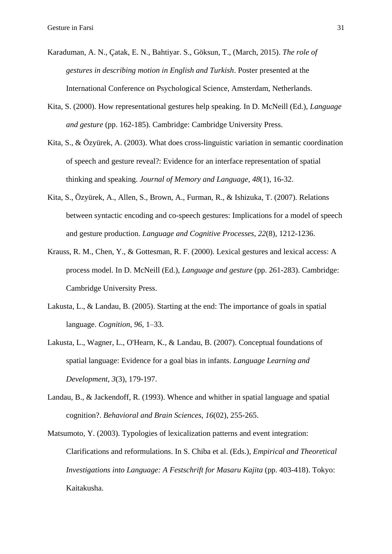- Karaduman, A. N., Çatak, E. N., Bahtiyar. S., Göksun, T., (March, 2015). *The role of gestures in describing motion in English and Turkish*. Poster presented at the International Conference on Psychological Science, Amsterdam, Netherlands.
- Kita, S. (2000). How representational gestures help speaking. In D. McNeill (Ed.), *Language and gesture* (pp. 162-185). Cambridge: Cambridge University Press.
- Kita, S., & Özyürek, A. (2003). What does cross-linguistic variation in semantic coordination of speech and gesture reveal?: Evidence for an interface representation of spatial thinking and speaking. *Journal of Memory and Language*, *48*(1), 16-32.
- Kita, S., Özyürek, A., Allen, S., Brown, A., Furman, R., & Ishizuka, T. (2007). Relations between syntactic encoding and co-speech gestures: Implications for a model of speech and gesture production. *Language and Cognitive Processes*, *22*(8), 1212-1236.
- Krauss, R. M., Chen, Y., & Gottesman, R. F. (2000). Lexical gestures and lexical access: A process model. In D. McNeill (Ed.), *Language and gesture* (pp. 261-283). Cambridge: Cambridge University Press.
- Lakusta, L., & Landau, B. (2005). Starting at the end: The importance of goals in spatial language. *Cognition*, *96*, 1–33.
- Lakusta, L., Wagner, L., O'Hearn, K., & Landau, B. (2007). Conceptual foundations of spatial language: Evidence for a goal bias in infants. *Language Learning and Development*, *3*(3), 179-197.
- Landau, B., & Jackendoff, R. (1993). Whence and whither in spatial language and spatial cognition?. *Behavioral and Brain Sciences*, *16*(02), 255-265.
- Matsumoto, Y. (2003). Typologies of lexicalization patterns and event integration: Clarifications and reformulations. In S. Chiba et al. (Eds.), *Empirical and Theoretical Investigations into Language: A Festschrift for Masaru Kajita (pp. 403-418). Tokyo:* Kaitakusha.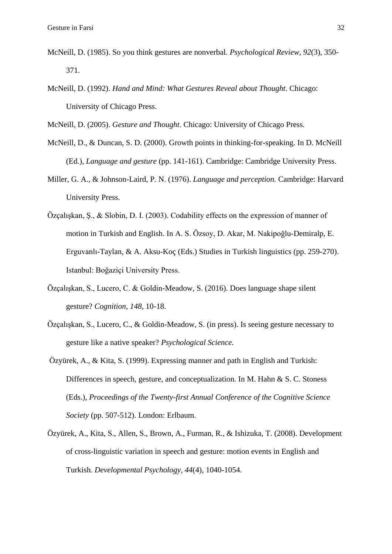- McNeill, D. (1985). So you think gestures are nonverbal. *Psychological Review, 92*(3), 350- 371.
- McNeill, D. (1992). *Hand and Mind: What Gestures Reveal about Thought*. Chicago: University of Chicago Press.

McNeill, D. (2005). *Gesture and Thought*. Chicago: University of Chicago Press.

- McNeill, D., & Duncan, S. D. (2000). Growth points in thinking-for-speaking. In D. McNeill (Ed.), *Language and gesture* (pp. 141-161). Cambridge: Cambridge University Press.
- Miller, G. A., & Johnson-Laird, P. N. (1976). *Language and perception.* Cambridge: Harvard University Press.
- Özçalışkan, Ş., & Slobin, D. I. (2003). Codability effects on the expression of manner of motion in Turkish and English. In A. S. Özsoy, D. Akar, M. Nakipoğlu-Demiralp, E. Erguvanlı-Taylan, & A. Aksu-Koç (Eds.) Studies in Turkish linguistics (pp. 259-270). Istanbul: Boğaziçi University Press.
- Özçalışkan, S., Lucero, C. & Goldin-Meadow, S. (2016). Does language shape silent gesture? *Cognition, 148,* 10-18.
- Özçalışkan, S., Lucero, C., & Goldin-Meadow, S. (in press). Is seeing gesture necessary to gesture like a native speaker? *Psychological Science.*
- Özyürek, A., & Kita, S. (1999). Expressing manner and path in English and Turkish: Differences in speech, gesture, and conceptualization. In M. Hahn & S. C. Stoness (Eds.), *Proceedings of the Twenty-first Annual Conference of the Cognitive Science Society* (pp. 507-512). London: Erlbaum.
- Özyürek, A., Kita, S., Allen, S., Brown, A., Furman, R., & Ishizuka, T. (2008). Development of cross-linguistic variation in speech and gesture: motion events in English and Turkish. *Developmental Psychology*, *44*(4), 1040-1054.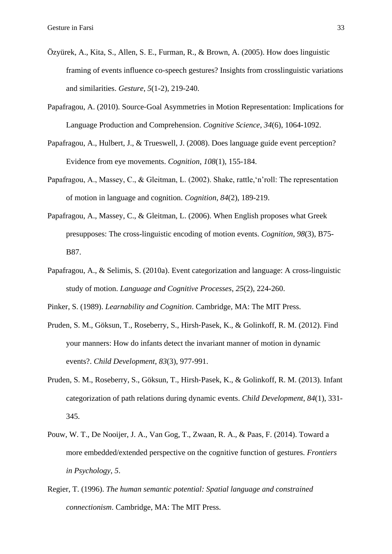- Özyürek, A., Kita, S., Allen, S. E., Furman, R., & Brown, A. (2005). How does linguistic framing of events influence co-speech gestures? Insights from crosslinguistic variations and similarities. *Gesture*, *5*(1-2), 219-240.
- Papafragou, A. (2010). Source‐Goal Asymmetries in Motion Representation: Implications for Language Production and Comprehension. *Cognitive Science*, *34*(6), 1064-1092.
- Papafragou, A., Hulbert, J., & Trueswell, J. (2008). Does language guide event perception? Evidence from eye movements. *Cognition*, *108*(1), 155-184.
- Papafragou, A., Massey, C., & Gleitman, L. (2002). Shake, rattle,'n'roll: The representation of motion in language and cognition. *Cognition*, *84*(2), 189-219.
- Papafragou, A., Massey, C., & Gleitman, L. (2006). When English proposes what Greek presupposes: The cross-linguistic encoding of motion events. *Cognition*, *98*(3), B75- B87.
- Papafragou, A., & Selimis, S. (2010a). Event categorization and language: A cross-linguistic study of motion. *Language and Cognitive Processes*, *25*(2), 224-260.
- Pinker, S. (1989). *Learnability and Cognition*. Cambridge, MA: The MIT Press.
- Pruden, S. M., Göksun, T., Roseberry, S., Hirsh‐Pasek, K., & Golinkoff, R. M. (2012). Find your manners: How do infants detect the invariant manner of motion in dynamic events?. *Child Development*, *83*(3), 977-991.
- Pruden, S. M., Roseberry, S., Göksun, T., Hirsh‐Pasek, K., & Golinkoff, R. M. (2013). Infant categorization of path relations during dynamic events. *Child Development*, *84*(1), 331- 345.
- Pouw, W. T., De Nooijer, J. A., Van Gog, T., Zwaan, R. A., & Paas, F. (2014). Toward a more embedded/extended perspective on the cognitive function of gestures. *Frontiers in Psychology*, *5*.
- Regier, T. (1996). *The human semantic potential: Spatial language and constrained connectionism*. Cambridge, MA: The MIT Press.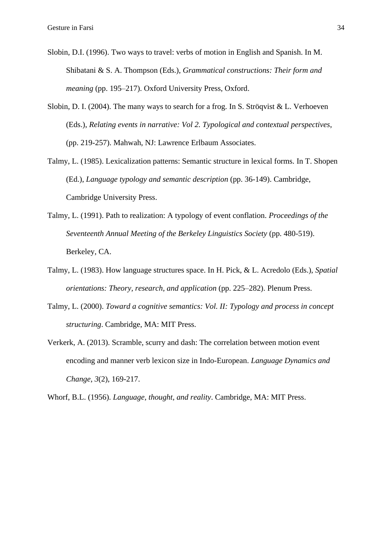- Slobin, D.I. (1996). Two ways to travel: verbs of motion in English and Spanish. In M. Shibatani & S. A. Thompson (Eds.), *Grammatical constructions: Their form and meaning* (pp. 195–217). Oxford University Press, Oxford.
- Slobin, D. I. (2004). The many ways to search for a frog. In S. Ströqvist & L. Verhoeven (Eds.), *Relating events in narrative: Vol 2. Typological and contextual perspectives*, (pp. 219-257). Mahwah, NJ: Lawrence Erlbaum Associates.
- Talmy, L. (1985). Lexicalization patterns: Semantic structure in lexical forms*.* In T. Shopen (Ed.), *Language typology and semantic description* (pp. 36-149). Cambridge, Cambridge University Press.
- Talmy, L. (1991). Path to realization: A typology of event conflation. *Proceedings of the Seventeenth Annual Meeting of the Berkeley Linguistics Society* (pp. 480-519). Berkeley, CA.
- Talmy, L. (1983). How language structures space. In H. Pick, & L. Acredolo (Eds.), *Spatial orientations: Theory, research, and application* (pp. 225–282). Plenum Press.
- Talmy, L. (2000). *Toward a cognitive semantics: Vol. II: Typology and process in concept structuring*. Cambridge, MA: MIT Press.
- Verkerk, A. (2013). Scramble, scurry and dash: The correlation between motion event encoding and manner verb lexicon size in Indo-European. *Language Dynamics and Change*, *3*(2), 169-217.

Whorf, B.L. (1956). *Language, thought, and reality*. Cambridge, MA: MIT Press.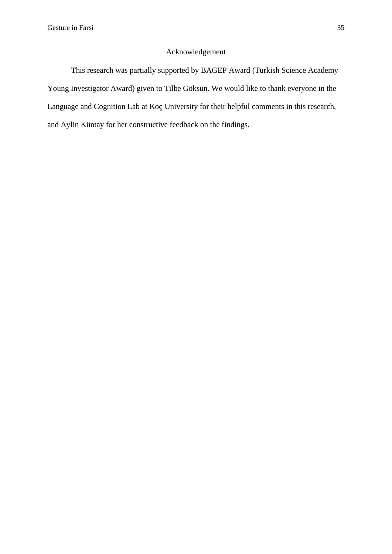## Acknowledgement

This research was partially supported by BAGEP Award (Turkish Science Academy Young Investigator Award) given to Tilbe Göksun. We would like to thank everyone in the Language and Cognition Lab at Koç University for their helpful comments in this research, and Aylin Küntay for her constructive feedback on the findings.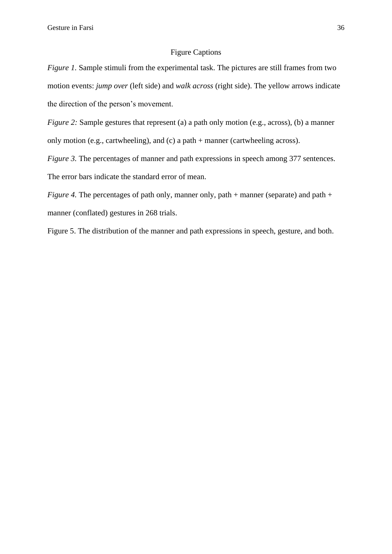## Figure Captions

*Figure 1.* Sample stimuli from the experimental task. The pictures are still frames from two motion events: *jump over* (left side) and *walk across* (right side). The yellow arrows indicate the direction of the person's movement.

*Figure 2:* Sample gestures that represent (a) a path only motion (e.g., across), (b) a manner only motion (e.g., cartwheeling), and (c) a path + manner (cartwheeling across).

*Figure 3.* The percentages of manner and path expressions in speech among 377 sentences. The error bars indicate the standard error of mean.

*Figure 4.* The percentages of path only, manner only, path + manner (separate) and path + manner (conflated) gestures in 268 trials.

Figure 5. The distribution of the manner and path expressions in speech, gesture, and both.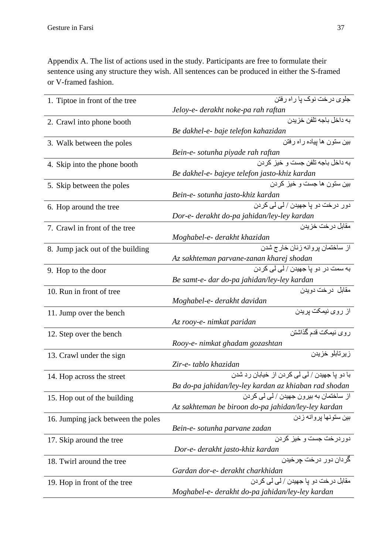Appendix A. The list of actions used in the study. Participants are free to formulate their sentence using any structure they wish. All sentences can be produced in either the S-framed or V-framed fashion.

| 1. Tiptoe in front of the tree     | جلوی درخت نوک یا راه رفتن                             |
|------------------------------------|-------------------------------------------------------|
|                                    | Jeloy-e- derakht noke-pa rah raftan                   |
| 2. Crawl into phone booth          | به داخل باجه تلفن خز بدن                              |
|                                    | Be dakhel-e- baje telefon kahazidan                   |
| 3. Walk between the poles          | بین ستون ها بیاده راه رفتن                            |
|                                    | Bein-e- sotunha piyade rah raftan                     |
| 4. Skip into the phone booth       | به داخل باجه تلفن جست و خيز كر دن                     |
|                                    | Be dakhel-e- bajeye telefon jasto-khiz kardan         |
| 5. Skip between the poles          | بين ستون ها جست و خيز كردن                            |
|                                    | Bein-e- sotunha jasto-khiz kardan                     |
| 6. Hop around the tree             | دور درخت دو یا جهیدن / لی لی کردن                     |
|                                    | Dor-e- derakht do-pa jahidan/ley-ley kardan           |
| 7. Crawl in front of the tree      | مقابل درخت خزيدن                                      |
|                                    | Moghabel-e- derakht khazidan                          |
| 8. Jump jack out of the building   | از ساختمان بروانه زنان خارج شدن                       |
|                                    | Az sakhteman parvane-zanan kharej shodan              |
| 9. Hop to the door                 | به سمت در دو یا جهیدن / لی لی کر دن                   |
|                                    | Be samt-e- dar do-pa jahidan/ley-ley kardan           |
| 10. Run in front of tree           | مقابل درخت دويدن                                      |
|                                    | Moghabel-e- derakht davidan                           |
| 11. Jump over the bench            | از روی نیمکت پریدن                                    |
|                                    | Az rooy-e- nimkat paridan                             |
| 12. Step over the bench            | روى نيمكت قدم گذاشتن                                  |
|                                    | Rooy-e- nimkat ghadam gozashtan                       |
| 13. Crawl under the sign           | زيرتابلو خزيدن                                        |
|                                    | Zir-e- tablo khazidan                                 |
| 14. Hop across the street          | با دو یا جهیدن / لی لی کردن از خیابان رد شدن          |
|                                    | Ba do-pa jahidan/ley-ley kardan az khiaban rad shodan |
| 15. Hop out of the building        | از ساختمان به بیرون جهیدن / لی ل <i>ی</i> کردن        |
|                                    | Az sakhteman be biroon do-pa jahidan/ley-ley kardan   |
| 16. Jumping jack between the poles | بین ستونها بروانه زدن                                 |
|                                    | Bein-e- sotunha parvane zadan                         |
| 17. Skip around the tree           | دور در خت جست و خیز کردن                              |
|                                    | Dor-e- derakht jasto-khiz kardan                      |
| 18. Twirl around the tree          | گر دان دور درخت چرخیدن                                |
|                                    | Gardan dor-e- derakht charkhidan                      |
| 19. Hop in front of the tree       | مقابل در خت دو یا جهیدن / لی لی کر دن                 |
|                                    |                                                       |